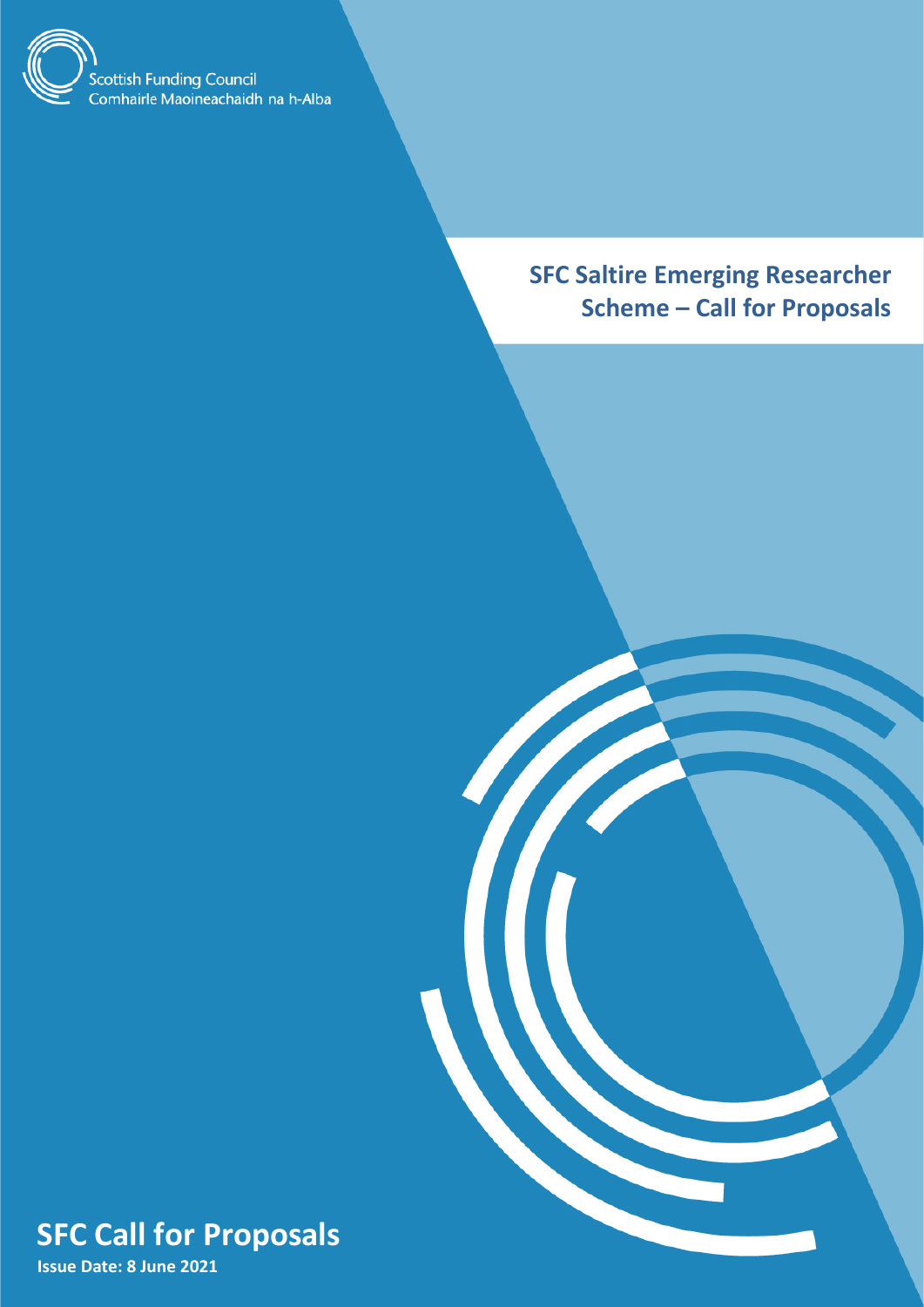

**SFC Saltire Emerging Researcher Scheme – Call for Proposals**

<span id="page-0-0"></span>

**Issue Date: 8 June 2021**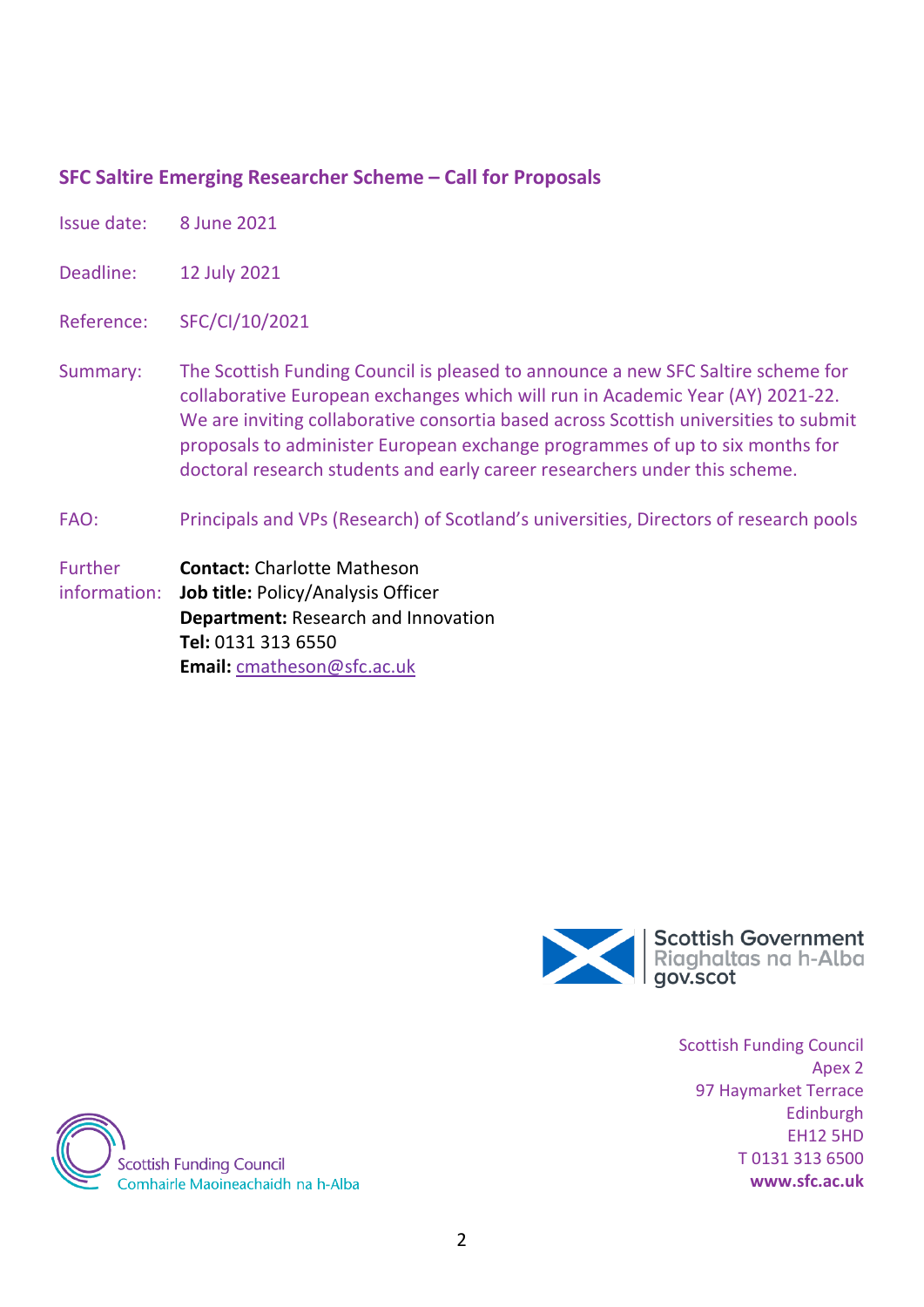## **SFC Saltire Emerging Researcher Scheme – Call for Proposals**

- Issue date: 8 June 2021
- Deadline: 12 July 2021
- Reference: SFC/CI/10/2021
- Summary: The Scottish Funding Council is pleased to announce a new SFC Saltire scheme for collaborative European exchanges which will run in Academic Year (AY) 2021-22. We are inviting collaborative consortia based across Scottish universities to submit proposals to administer European exchange programmes of up to six months for doctoral research students and early career researchers under this scheme.
- FAO: Principals and VPs (Research) of Scotland's universities, Directors of research pools
- Further information: **Contact:** Charlotte Matheson **Job title:** Policy/Analysis Officer **Department:** Research and Innovation **Tel:** 0131 313 6550 **Email:** [cmatheson@sfc.ac.uk](mailto:cmatheson@sfc.ac.uk)



Scottish Funding Council Apex 2 97 Haymarket Terrace Edinburgh EH12 5HD T 0131 313 6500 **www.sfc.ac.uk**

**Scottish Funding Council** Comhairle Maoineachaidh na h-Alba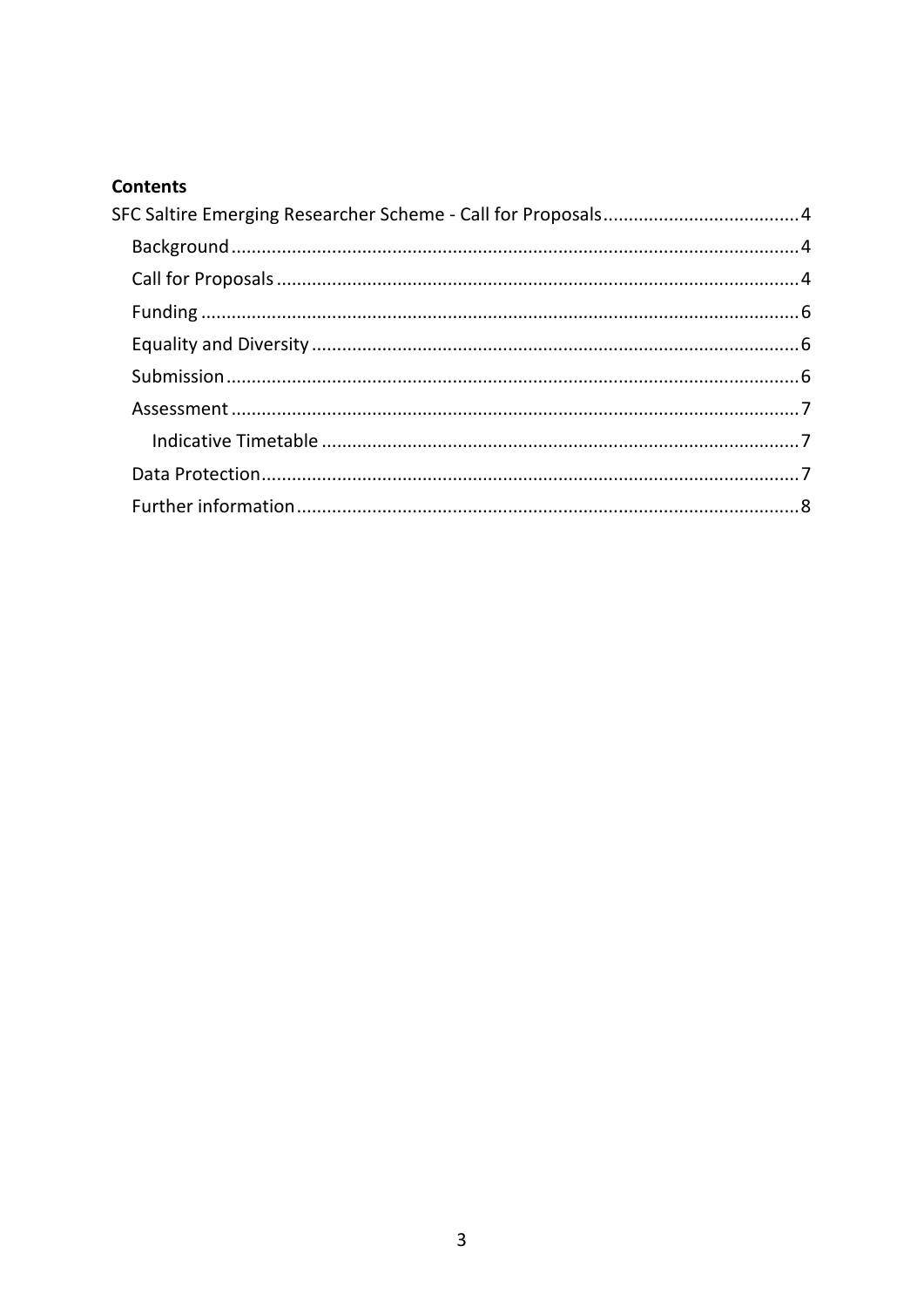# **Contents**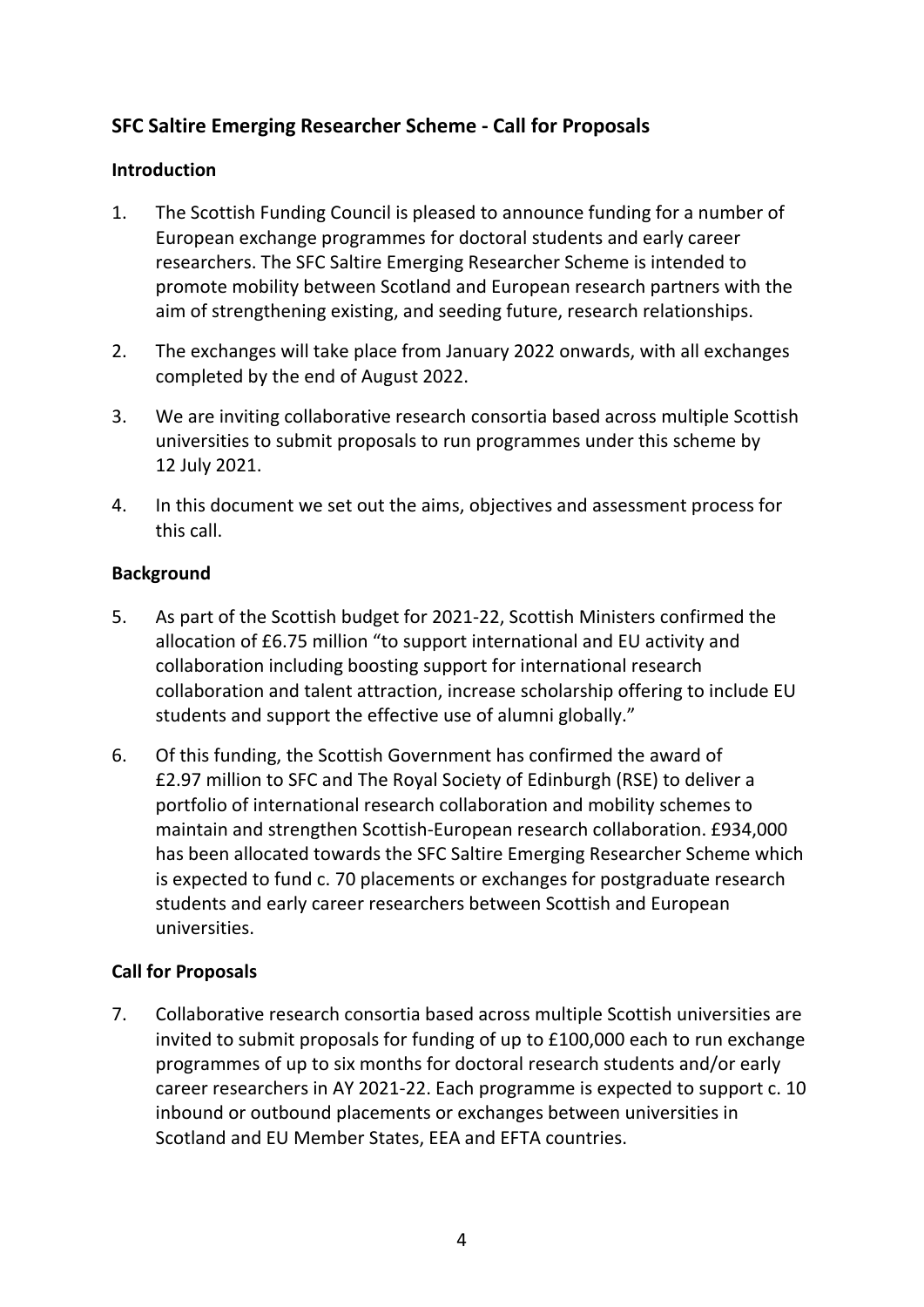# <span id="page-3-0"></span>**SFC Saltire Emerging Researcher Scheme - Call for Proposals**

#### **Introduction**

- 1. The Scottish Funding Council is pleased to announce funding for a number of European exchange programmes for doctoral students and early career researchers. The SFC Saltire Emerging Researcher Scheme is intended to promote mobility between Scotland and European research partners with the aim of strengthening existing, and seeding future, research relationships.
- 2. The exchanges will take place from January 2022 onwards, with all exchanges completed by the end of August 2022.
- 3. We are inviting collaborative research consortia based across multiple Scottish universities to submit proposals to run programmes under this scheme by 12 July 2021.
- 4. In this document we set out the aims, objectives and assessment process for this call.

### <span id="page-3-1"></span>**Background**

- 5. As part of the Scottish budget for 2021-22, Scottish Ministers confirmed the allocation of £6.75 million "to support international and EU activity and collaboration including boosting support for international research collaboration and talent attraction, increase scholarship offering to include EU students and support the effective use of alumni globally."
- 6. Of this funding, the Scottish Government has confirmed the award of £2.97 million to SFC and The Royal Society of Edinburgh (RSE) to deliver a portfolio of international research collaboration and mobility schemes to maintain and strengthen Scottish-European research collaboration. £934,000 has been allocated towards the SFC Saltire Emerging Researcher Scheme which is expected to fund c. 70 placements or exchanges for postgraduate research students and early career researchers between Scottish and European universities.

### <span id="page-3-2"></span>**Call for Proposals**

7. Collaborative research consortia based across multiple Scottish universities are invited to submit proposals for funding of up to £100,000 each to run exchange programmes of up to six months for doctoral research students and/or early career researchers in AY 2021-22. Each programme is expected to support c. 10 inbound or outbound placements or exchanges between universities in Scotland and EU Member States, EEA and EFTA countries.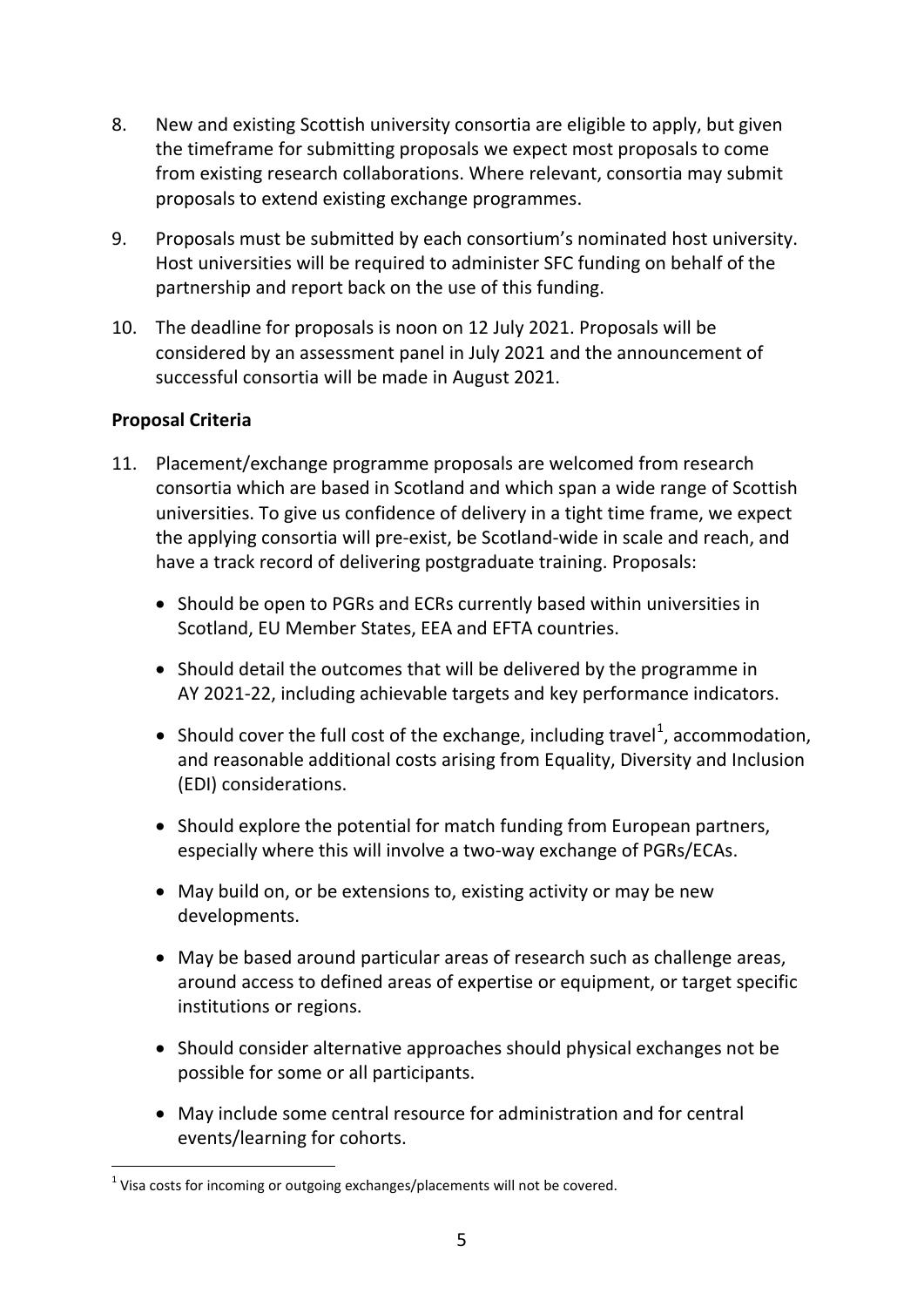- 8. New and existing Scottish university consortia are eligible to apply, but given the timeframe for submitting proposals we expect most proposals to come from existing research collaborations. Where relevant, consortia may submit proposals to extend existing exchange programmes.
- 9. Proposals must be submitted by each consortium's nominated host university. Host universities will be required to administer SFC funding on behalf of the partnership and report back on the use of this funding.
- 10. The deadline for proposals is noon on 12 July 2021. Proposals will be considered by an assessment panel in July 2021 and the announcement of successful consortia will be made in August 2021.

## **Proposal Criteria**

- 11. Placement/exchange programme proposals are welcomed from research consortia which are based in Scotland and which span a wide range of Scottish universities. To give us confidence of delivery in a tight time frame, we expect the applying consortia will pre-exist, be Scotland-wide in scale and reach, and have a track record of delivering postgraduate training. Proposals:
	- Should be open to PGRs and ECRs currently based within universities in Scotland, EU Member States, EEA and EFTA countries.
	- Should detail the outcomes that will be delivered by the programme in AY 2021-22, including achievable targets and key performance indicators.
	- Should cover the full cost of the exchange, including travel<sup>[1](#page-0-0)</sup>, accommodation, and reasonable additional costs arising from Equality, Diversity and Inclusion (EDI) considerations.
	- Should explore the potential for match funding from European partners, especially where this will involve a two-way exchange of PGRs/ECAs.
	- May build on, or be extensions to, existing activity or may be new developments.
	- May be based around particular areas of research such as challenge areas, around access to defined areas of expertise or equipment, or target specific institutions or regions.
	- Should consider alternative approaches should physical exchanges not be possible for some or all participants.
	- May include some central resource for administration and for central events/learning for cohorts.

<span id="page-4-0"></span> $1$  Visa costs for incoming or outgoing exchanges/placements will not be covered.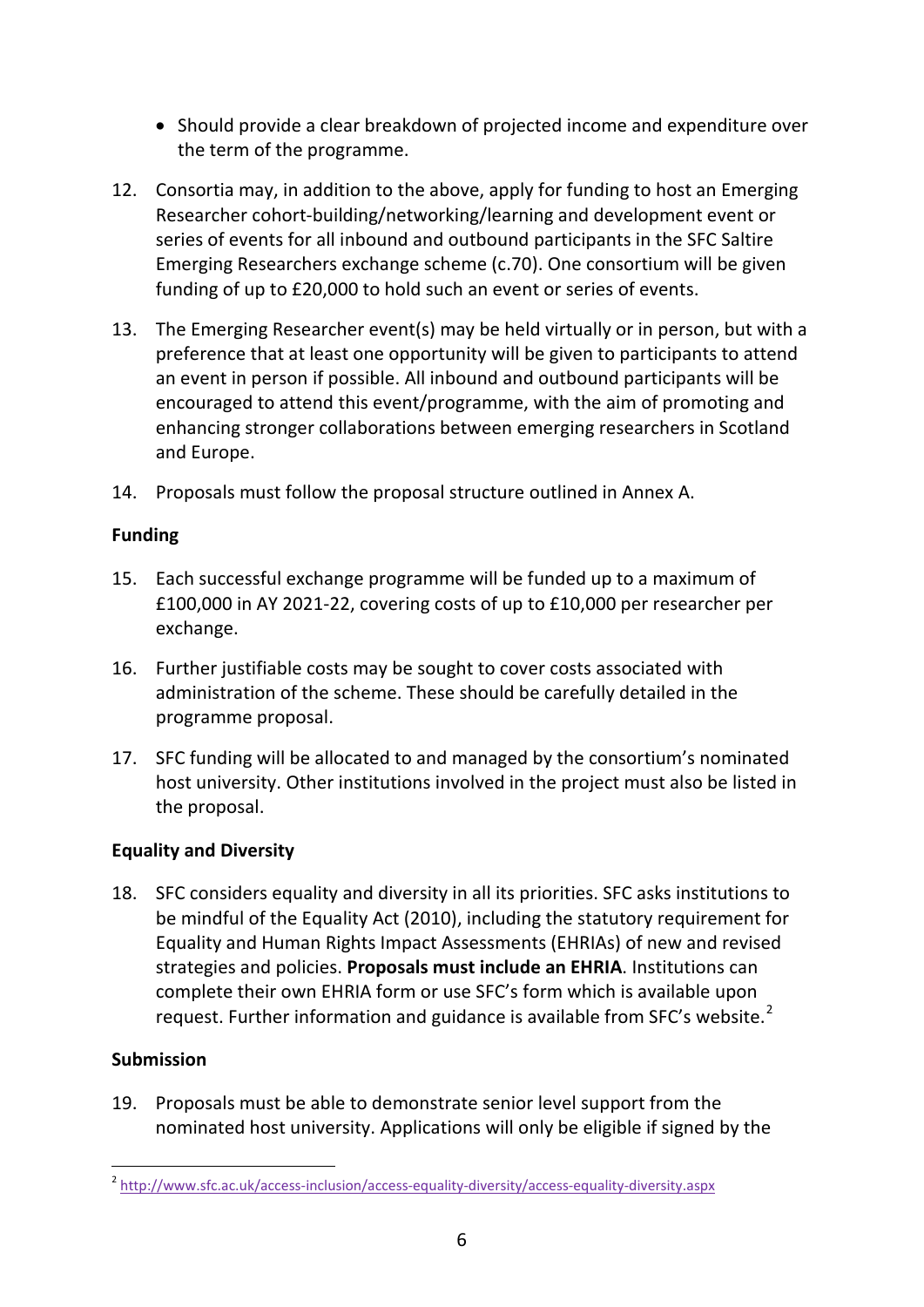- Should provide a clear breakdown of projected income and expenditure over the term of the programme.
- 12. Consortia may, in addition to the above, apply for funding to host an Emerging Researcher cohort-building/networking/learning and development event or series of events for all inbound and outbound participants in the SFC Saltire Emerging Researchers exchange scheme (c.70). One consortium will be given funding of up to £20,000 to hold such an event or series of events.
- 13. The Emerging Researcher event(s) may be held virtually or in person, but with a preference that at least one opportunity will be given to participants to attend an event in person if possible. All inbound and outbound participants will be encouraged to attend this event/programme, with the aim of promoting and enhancing stronger collaborations between emerging researchers in Scotland and Europe.
- 14. Proposals must follow the proposal structure outlined in Annex A.

## <span id="page-5-0"></span>**Funding**

- 15. Each successful exchange programme will be funded up to a maximum of £100,000 in AY 2021-22, covering costs of up to £10,000 per researcher per exchange.
- 16. Further justifiable costs may be sought to cover costs associated with administration of the scheme. These should be carefully detailed in the programme proposal.
- 17. SFC funding will be allocated to and managed by the consortium's nominated host university. Other institutions involved in the project must also be listed in the proposal.

## <span id="page-5-1"></span>**Equality and Diversity**

18. SFC considers equality and diversity in all its priorities. SFC asks institutions to be mindful of the Equality Act (2010), including the statutory requirement for Equality and Human Rights Impact Assessments (EHRIAs) of new and revised strategies and policies. **Proposals must include an EHRIA**. Institutions can complete their own EHRIA form or use SFC's form which is available upon request. Further information and guidance is available from SFC's website. $2$ 

## <span id="page-5-2"></span>**Submission**

19. Proposals must be able to demonstrate senior level support from the nominated host university. Applications will only be eligible if signed by the

 <sup>2</sup> <http://www.sfc.ac.uk/access-inclusion/access-equality-diversity/access-equality-diversity.aspx>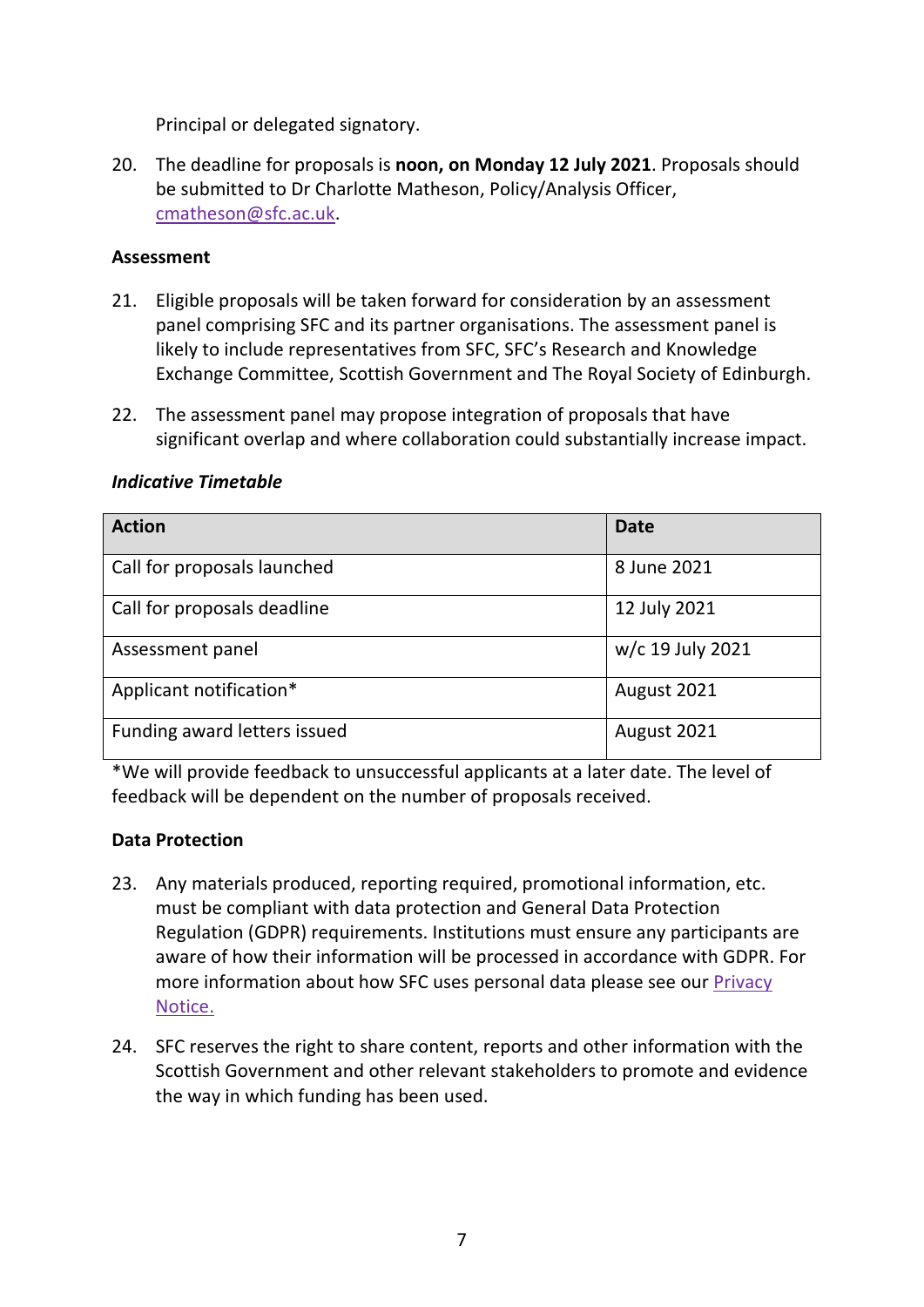Principal or delegated signatory.

20. The deadline for proposals is **noon, on Monday 12 July 2021**. Proposals should be submitted to Dr Charlotte Matheson, Policy/Analysis Officer, [cmatheson@sfc.ac.uk.](mailto:cmatheson@sfc.ac.uk)

#### <span id="page-6-0"></span>**Assessment**

- 21. Eligible proposals will be taken forward for consideration by an assessment panel comprising SFC and its partner organisations. The assessment panel is likely to include representatives from SFC, SFC's Research and Knowledge Exchange Committee, Scottish Government and The Royal Society of Edinburgh.
- 22. The assessment panel may propose integration of proposals that have significant overlap and where collaboration could substantially increase impact.

#### <span id="page-6-1"></span>*Indicative Timetable*

| <b>Action</b>                | <b>Date</b>      |
|------------------------------|------------------|
| Call for proposals launched  | 8 June 2021      |
| Call for proposals deadline  | 12 July 2021     |
| Assessment panel             | w/c 19 July 2021 |
| Applicant notification*      | August 2021      |
| Funding award letters issued | August 2021      |

\*We will provide feedback to unsuccessful applicants at a later date. The level of feedback will be dependent on the number of proposals received.

#### <span id="page-6-2"></span>**Data Protection**

- 23. Any materials produced, reporting required, promotional information, etc. must be compliant with data protection and General Data Protection Regulation (GDPR) requirements. Institutions must ensure any participants are aware of how their information will be processed in accordance with GDPR. For more information about how SFC uses personal data please see our [Privacy](http://www.sfc.ac.uk/about-sfc/how-we-operate/access-information/privacy-notice/privacy.aspx)  [Notice.](http://www.sfc.ac.uk/about-sfc/how-we-operate/access-information/privacy-notice/privacy.aspx)
- <span id="page-6-3"></span>24. SFC reserves the right to share content, reports and other information with the Scottish Government and other relevant stakeholders to promote and evidence the way in which funding has been used.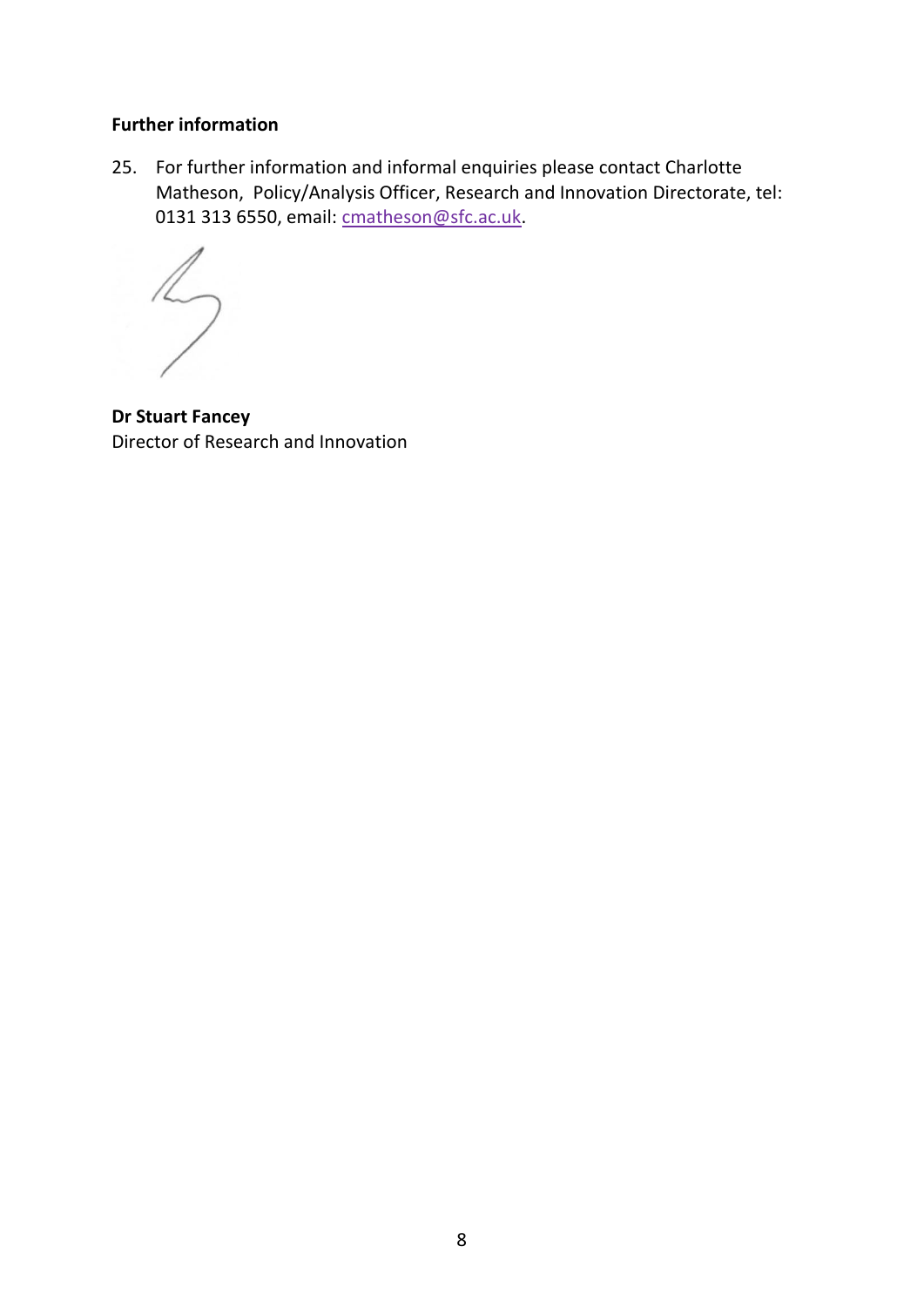#### **Further information**

25. For further information and informal enquiries please contact Charlotte Matheson, Policy/Analysis Officer, Research and Innovation Directorate, tel: 0131 313 6550, email: [cmatheson@sfc.ac.uk.](mailto:cmatheson@sfc.ac.uk)

 $\overline{2}$ 

**Dr Stuart Fancey** Director of Research and Innovation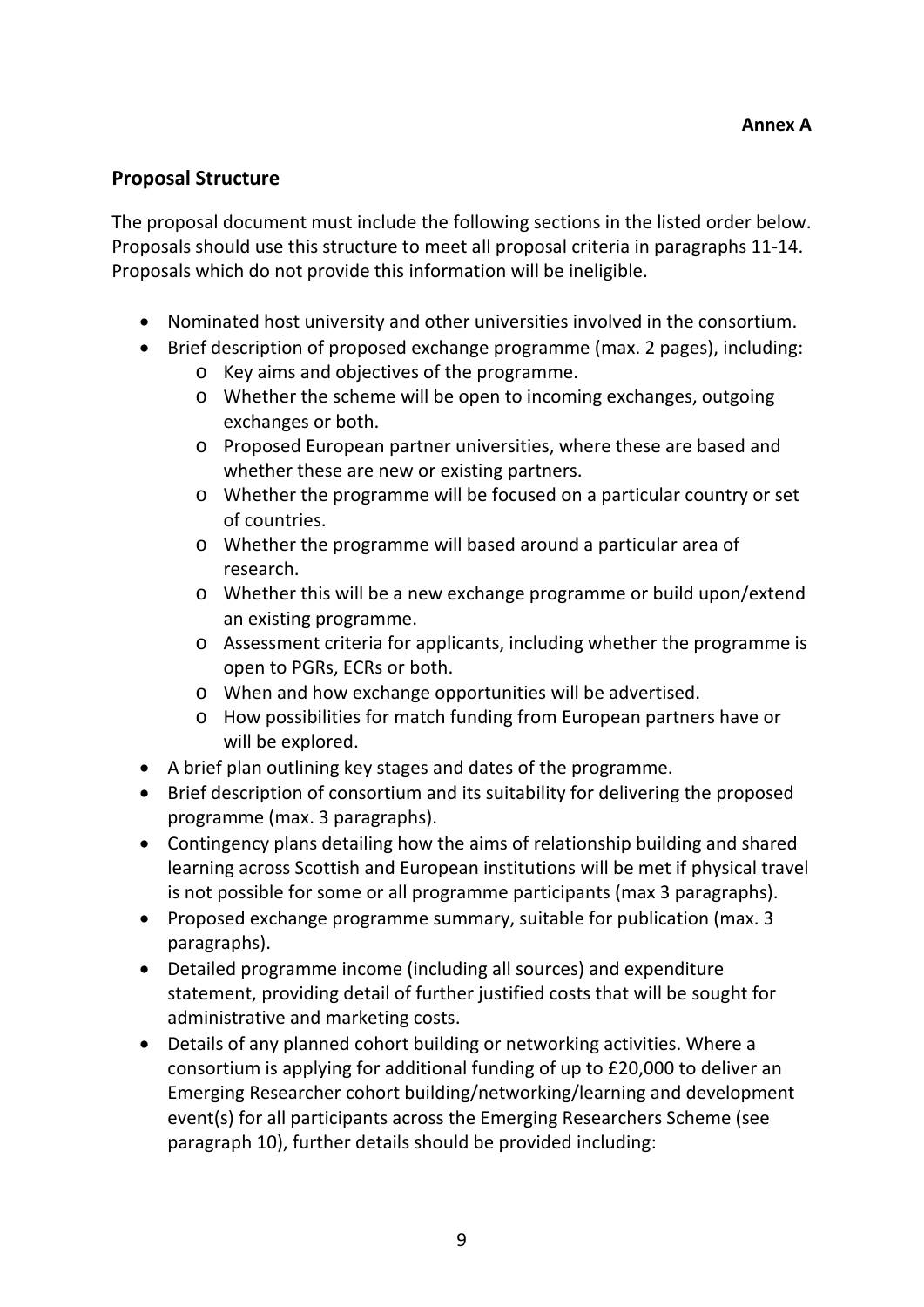## **Proposal Structure**

The proposal document must include the following sections in the listed order below. Proposals should use this structure to meet all proposal criteria in paragraphs 11-14. Proposals which do not provide this information will be ineligible.

- Nominated host university and other universities involved in the consortium.
- Brief description of proposed exchange programme (max. 2 pages), including:
	- o Key aims and objectives of the programme.
	- o Whether the scheme will be open to incoming exchanges, outgoing exchanges or both.
	- o Proposed European partner universities, where these are based and whether these are new or existing partners.
	- o Whether the programme will be focused on a particular country or set of countries.
	- o Whether the programme will based around a particular area of research.
	- o Whether this will be a new exchange programme or build upon/extend an existing programme.
	- o Assessment criteria for applicants, including whether the programme is open to PGRs, ECRs or both.
	- o When and how exchange opportunities will be advertised.
	- o How possibilities for match funding from European partners have or will be explored.
- A brief plan outlining key stages and dates of the programme.
- Brief description of consortium and its suitability for delivering the proposed programme (max. 3 paragraphs).
- Contingency plans detailing how the aims of relationship building and shared learning across Scottish and European institutions will be met if physical travel is not possible for some or all programme participants (max 3 paragraphs).
- Proposed exchange programme summary, suitable for publication (max. 3 paragraphs).
- Detailed programme income (including all sources) and expenditure statement, providing detail of further justified costs that will be sought for administrative and marketing costs.
- Details of any planned cohort building or networking activities. Where a consortium is applying for additional funding of up to £20,000 to deliver an Emerging Researcher cohort building/networking/learning and development event(s) for all participants across the Emerging Researchers Scheme (see paragraph 10), further details should be provided including: